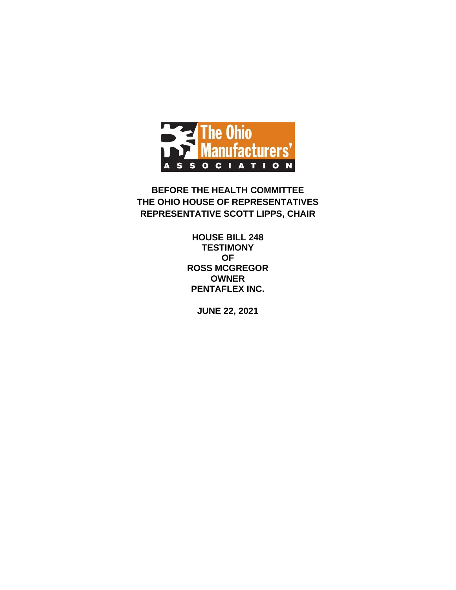

**BEFORE THE HEALTH COMMITTEE THE OHIO HOUSE OF REPRESENTATIVES REPRESENTATIVE SCOTT LIPPS, CHAIR**

> **HOUSE BILL 248 TESTIMONY OF ROSS MCGREGOR OWNER PENTAFLEX INC.**

> > **JUNE 22, 2021**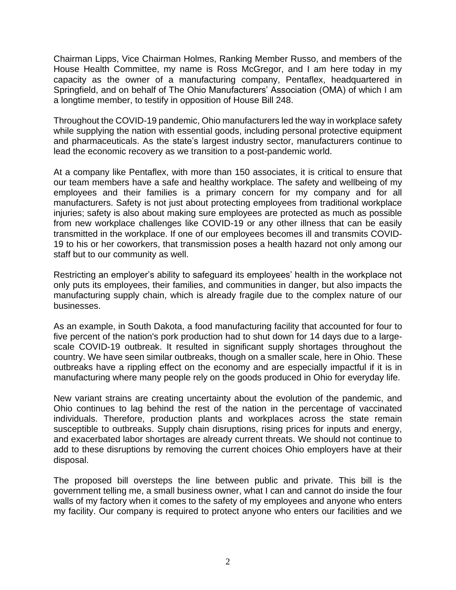Chairman Lipps, Vice Chairman Holmes, Ranking Member Russo, and members of the House Health Committee, my name is Ross McGregor, and I am here today in my capacity as the owner of a manufacturing company, Pentaflex, headquartered in Springfield, and on behalf of The Ohio Manufacturers' Association (OMA) of which I am a longtime member, to testify in opposition of House Bill 248.

Throughout the COVID-19 pandemic, Ohio manufacturers led the way in workplace safety while supplying the nation with essential goods, including personal protective equipment and pharmaceuticals. As the state's largest industry sector, manufacturers continue to lead the economic recovery as we transition to a post-pandemic world.

At a company like Pentaflex, with more than 150 associates, it is critical to ensure that our team members have a safe and healthy workplace. The safety and wellbeing of my employees and their families is a primary concern for my company and for all manufacturers. Safety is not just about protecting employees from traditional workplace injuries; safety is also about making sure employees are protected as much as possible from new workplace challenges like COVID-19 or any other illness that can be easily transmitted in the workplace. If one of our employees becomes ill and transmits COVID-19 to his or her coworkers, that transmission poses a health hazard not only among our staff but to our community as well.

Restricting an employer's ability to safeguard its employees' health in the workplace not only puts its employees, their families, and communities in danger, but also impacts the manufacturing supply chain, which is already fragile due to the complex nature of our businesses.

As an example, in South Dakota, a food manufacturing facility that accounted for four to five percent of the nation's pork production had to shut down for 14 days due to a largescale COVID-19 outbreak. It resulted in significant supply shortages throughout the country. We have seen similar outbreaks, though on a smaller scale, here in Ohio. These outbreaks have a rippling effect on the economy and are especially impactful if it is in manufacturing where many people rely on the goods produced in Ohio for everyday life.

New variant strains are creating uncertainty about the evolution of the pandemic, and Ohio continues to lag behind the rest of the nation in the percentage of vaccinated individuals. Therefore, production plants and workplaces across the state remain susceptible to outbreaks. Supply chain disruptions, rising prices for inputs and energy, and exacerbated labor shortages are already current threats. We should not continue to add to these disruptions by removing the current choices Ohio employers have at their disposal.

The proposed bill oversteps the line between public and private. This bill is the government telling me, a small business owner, what I can and cannot do inside the four walls of my factory when it comes to the safety of my employees and anyone who enters my facility. Our company is required to protect anyone who enters our facilities and we